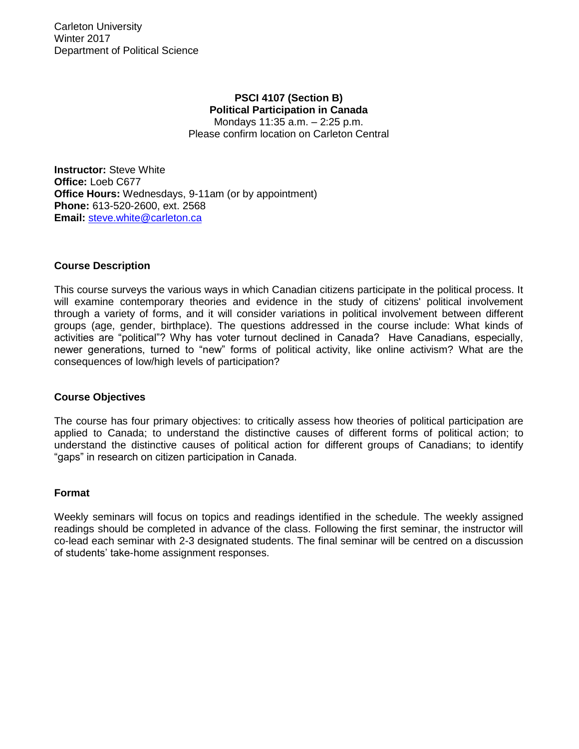# **PSCI 4107 (Section B) Political Participation in Canada**

Mondays 11:35 a.m. – 2:25 p.m. Please confirm location on Carleton Central

**Instructor:** Steve White **Office:** Loeb C677 **Office Hours:** Wednesdays, 9-11am (or by appointment) **Phone:** 613-520-2600, ext. 2568 **Email:** [steve.white@carleton.ca](mailto:steve.white@carleton.ca)

# **Course Description**

This course surveys the various ways in which Canadian citizens participate in the political process. It will examine contemporary theories and evidence in the study of citizens' political involvement through a variety of forms, and it will consider variations in political involvement between different groups (age, gender, birthplace). The questions addressed in the course include: What kinds of activities are "political"? Why has voter turnout declined in Canada? Have Canadians, especially, newer generations, turned to "new" forms of political activity, like online activism? What are the consequences of low/high levels of participation?

## **Course Objectives**

The course has four primary objectives: to critically assess how theories of political participation are applied to Canada; to understand the distinctive causes of different forms of political action; to understand the distinctive causes of political action for different groups of Canadians; to identify "gaps" in research on citizen participation in Canada.

## **Format**

Weekly seminars will focus on topics and readings identified in the schedule. The weekly assigned readings should be completed in advance of the class. Following the first seminar, the instructor will co-lead each seminar with 2-3 designated students. The final seminar will be centred on a discussion of students' take-home assignment responses.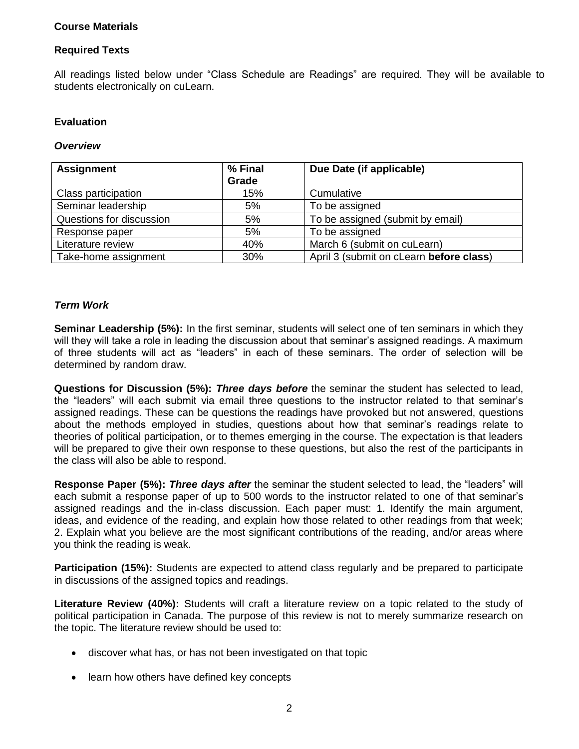# **Course Materials**

# **Required Texts**

All readings listed below under "Class Schedule are Readings" are required. They will be available to students electronically on cuLearn.

# **Evaluation**

## *Overview*

| <b>Assignment</b>        | % Final | Due Date (if applicable)                |  |
|--------------------------|---------|-----------------------------------------|--|
|                          | Grade   |                                         |  |
| Class participation      | 15%     | Cumulative                              |  |
| Seminar leadership       | 5%      | To be assigned                          |  |
| Questions for discussion | 5%      | To be assigned (submit by email)        |  |
| Response paper           | 5%      | To be assigned                          |  |
| Literature review        | 40%     | March 6 (submit on cuLearn)             |  |
| Take-home assignment     | 30%     | April 3 (submit on cLearn before class) |  |

# *Term Work*

**Seminar Leadership (5%):** In the first seminar, students will select one of ten seminars in which they will they will take a role in leading the discussion about that seminar's assigned readings. A maximum of three students will act as "leaders" in each of these seminars. The order of selection will be determined by random draw.

**Questions for Discussion (5%):** *Three days before* the seminar the student has selected to lead, the "leaders" will each submit via email three questions to the instructor related to that seminar's assigned readings. These can be questions the readings have provoked but not answered, questions about the methods employed in studies, questions about how that seminar's readings relate to theories of political participation, or to themes emerging in the course. The expectation is that leaders will be prepared to give their own response to these questions, but also the rest of the participants in the class will also be able to respond.

**Response Paper (5%):** *Three days after* the seminar the student selected to lead, the "leaders" will each submit a response paper of up to 500 words to the instructor related to one of that seminar's assigned readings and the in-class discussion. Each paper must: 1. Identify the main argument, ideas, and evidence of the reading, and explain how those related to other readings from that week; 2. Explain what you believe are the most significant contributions of the reading, and/or areas where you think the reading is weak.

**Participation (15%):** Students are expected to attend class regularly and be prepared to participate in discussions of the assigned topics and readings.

**Literature Review (40%):** Students will craft a literature review on a topic related to the study of political participation in Canada. The purpose of this review is not to merely summarize research on the topic. The literature review should be used to:

- discover what has, or has not been investigated on that topic
- learn how others have defined key concepts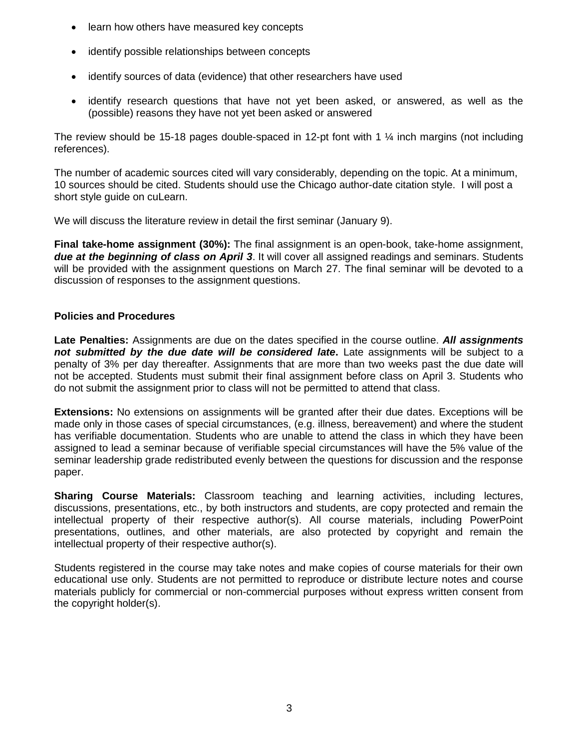- learn how others have measured key concepts
- identify possible relationships between concepts
- identify sources of data (evidence) that other researchers have used
- identify research questions that have not yet been asked, or answered, as well as the (possible) reasons they have not yet been asked or answered

The review should be 15-18 pages double-spaced in 12-pt font with 1  $\frac{1}{4}$  inch margins (not including references).

The number of academic sources cited will vary considerably, depending on the topic. At a minimum, 10 sources should be cited. Students should use the Chicago author-date citation style. I will post a short style guide on cuLearn.

We will discuss the literature review in detail the first seminar (January 9).

**Final take-home assignment (30%):** The final assignment is an open-book, take-home assignment, *due at the beginning of class on April 3*. It will cover all assigned readings and seminars. Students will be provided with the assignment questions on March 27. The final seminar will be devoted to a discussion of responses to the assignment questions.

# **Policies and Procedures**

**Late Penalties:** Assignments are due on the dates specified in the course outline. *All assignments not submitted by the due date will be considered late***.** Late assignments will be subject to a penalty of 3% per day thereafter. Assignments that are more than two weeks past the due date will not be accepted. Students must submit their final assignment before class on April 3. Students who do not submit the assignment prior to class will not be permitted to attend that class.

**Extensions:** No extensions on assignments will be granted after their due dates. Exceptions will be made only in those cases of special circumstances, (e.g. illness, bereavement) and where the student has verifiable documentation. Students who are unable to attend the class in which they have been assigned to lead a seminar because of verifiable special circumstances will have the 5% value of the seminar leadership grade redistributed evenly between the questions for discussion and the response paper.

**Sharing Course Materials:** Classroom teaching and learning activities, including lectures, discussions, presentations, etc., by both instructors and students, are copy protected and remain the intellectual property of their respective author(s). All course materials, including PowerPoint presentations, outlines, and other materials, are also protected by copyright and remain the intellectual property of their respective author(s).

Students registered in the course may take notes and make copies of course materials for their own educational use only. Students are not permitted to reproduce or distribute lecture notes and course materials publicly for commercial or non-commercial purposes without express written consent from the copyright holder(s).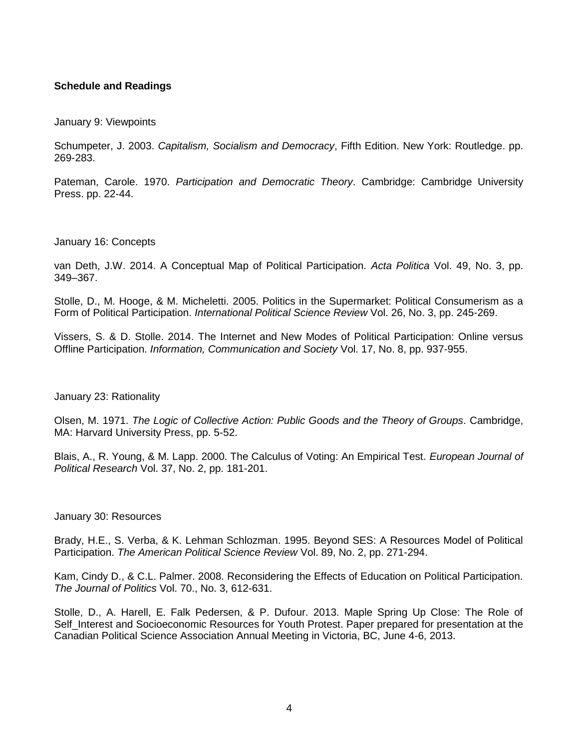# **Schedule and Readings**

January 9: Viewpoints

Schumpeter, J. 2003. *Capitalism, Socialism and Democracy*, Fifth Edition. New York: Routledge. pp. 269-283.

Pateman, Carole. 1970. *Participation and Democratic Theory*. Cambridge: Cambridge University Press. pp. 22-44.

#### January 16: Concepts

van Deth, J.W. 2014. A Conceptual Map of Political Participation. *Acta Politica* Vol. 49, No. 3, pp. 349–367.

Stolle, D., M. Hooge, & M. Micheletti. 2005. Politics in the Supermarket: Political Consumerism as a Form of Political Participation. *International Political Science Review* Vol. 26, No. 3, pp. 245-269.

Vissers, S. & D. Stolle. 2014. The Internet and New Modes of Political Participation: Online versus Offline Participation. *Information, Communication and Society* Vol. 17, No. 8, pp. 937-955.

## January 23: Rationality

Olsen, M. 1971. *The Logic of Collective Action: Public Goods and the Theory of Groups*. Cambridge, MA: Harvard University Press, pp. 5-52.

Blais, A., R. Young, & M. Lapp. 2000. The Calculus of Voting: An Empirical Test. *European Journal of Political Research* Vol. 37, No. 2, pp. 181-201.

## January 30: Resources

Brady, H.E., S. Verba, & K. Lehman Schlozman. 1995. Beyond SES: A Resources Model of Political Participation. *The American Political Science Review* Vol. 89, No. 2, pp. 271-294.

Kam, Cindy D., & C.L. Palmer. 2008. Reconsidering the Effects of Education on Political Participation. *The Journal of Politics* Vol. 70., No. 3, 612-631.

Stolle, D., A. Harell, E. Falk Pedersen, & P. Dufour. 2013. Maple Spring Up Close: The Role of Self Interest and Socioeconomic Resources for Youth Protest. Paper prepared for presentation at the Canadian Political Science Association Annual Meeting in Victoria, BC, June 4-6, 2013.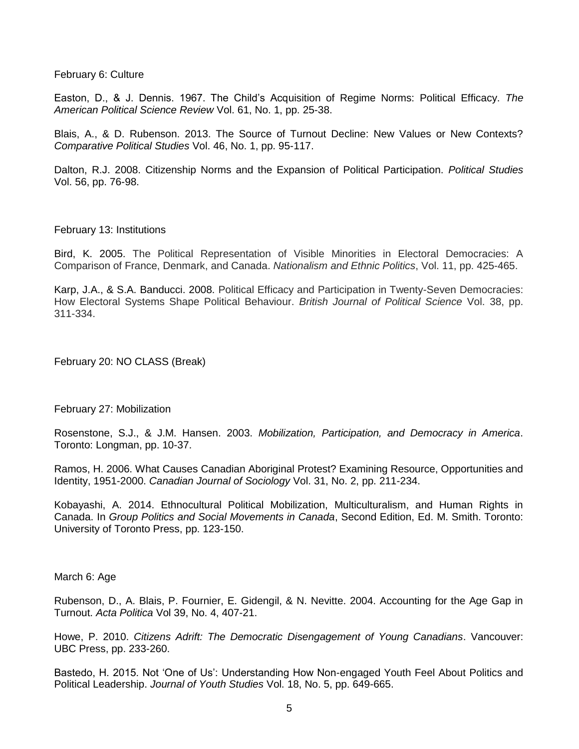February 6: Culture

Easton, D., & J. Dennis. 1967. The Child's Acquisition of Regime Norms: Political Efficacy. *The American Political Science Review* Vol. 61, No. 1, pp. 25-38.

Blais, A., & D. Rubenson. 2013. The Source of Turnout Decline: New Values or New Contexts? *Comparative Political Studies* Vol. 46, No. 1, pp. 95-117.

Dalton, R.J. 2008. Citizenship Norms and the Expansion of Political Participation. *Political Studies* Vol. 56, pp. 76-98.

February 13: Institutions

Bird, K. 2005. The Political Representation of Visible Minorities in Electoral Democracies: A Comparison of France, Denmark, and Canada. *Nationalism and Ethnic Politics*, Vol. 11, pp. 425-465.

Karp, J.A., & S.A. Banducci. 2008. Political Efficacy and Participation in Twenty-Seven Democracies: How Electoral Systems Shape Political Behaviour. *British Journal of Political Science* Vol. 38, pp. 311-334.

February 20: NO CLASS (Break)

February 27: Mobilization

Rosenstone, S.J., & J.M. Hansen. 2003. *Mobilization, Participation, and Democracy in America*. Toronto: Longman, pp. 10-37.

Ramos, H. 2006. What Causes Canadian Aboriginal Protest? Examining Resource, Opportunities and Identity, 1951-2000. *Canadian Journal of Sociology* Vol. 31, No. 2, pp. 211-234.

Kobayashi, A. 2014. Ethnocultural Political Mobilization, Multiculturalism, and Human Rights in Canada. In *Group Politics and Social Movements in Canada*, Second Edition, Ed. M. Smith. Toronto: University of Toronto Press, pp. 123-150.

March 6: Age

Rubenson, D., A. Blais, P. Fournier, E. Gidengil, & N. Nevitte. 2004. Accounting for the Age Gap in Turnout. *Acta Politica* Vol 39, No. 4, 407-21.

Howe, P. 2010. *Citizens Adrift: The Democratic Disengagement of Young Canadians*. Vancouver: UBC Press, pp. 233-260.

Bastedo, H. 2015. Not 'One of Us': Understanding How Non-engaged Youth Feel About Politics and Political Leadership. *Journal of Youth Studies* Vol. 18, No. 5, pp. 649-665.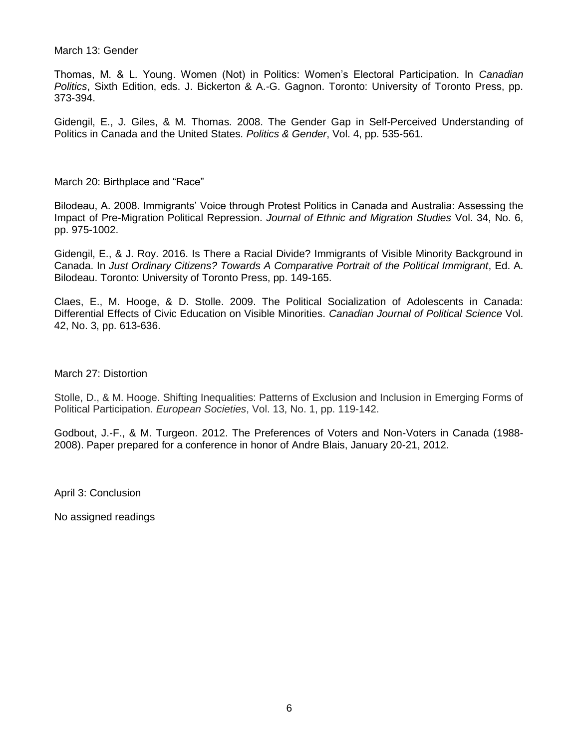March 13: Gender

Thomas, M. & L. Young. Women (Not) in Politics: Women's Electoral Participation. In *Canadian Politics*, Sixth Edition, eds. J. Bickerton & A.-G. Gagnon. Toronto: University of Toronto Press, pp. 373-394.

Gidengil, E., J. Giles, & M. Thomas. 2008. The Gender Gap in Self-Perceived Understanding of Politics in Canada and the United States. *Politics & Gender*, Vol. 4, pp. 535-561.

March 20: Birthplace and "Race"

Bilodeau, A. 2008. Immigrants' Voice through Protest Politics in Canada and Australia: Assessing the Impact of Pre-Migration Political Repression. *Journal of Ethnic and Migration Studies* Vol. 34, No. 6, pp. 975-1002.

Gidengil, E., & J. Roy. 2016. Is There a Racial Divide? Immigrants of Visible Minority Background in Canada. In *Just Ordinary Citizens? Towards A Comparative Portrait of the Political Immigrant*, Ed. A. Bilodeau. Toronto: University of Toronto Press, pp. 149-165.

Claes, E., M. Hooge, & D. Stolle. 2009. The Political Socialization of Adolescents in Canada: Differential Effects of Civic Education on Visible Minorities. *Canadian Journal of Political Science* Vol. 42, No. 3, pp. 613-636.

March 27: Distortion

Stolle, D., & M. Hooge. Shifting Inequalities: Patterns of Exclusion and Inclusion in Emerging Forms of Political Participation. *European Societies*, Vol. 13, No. 1, pp. 119-142.

Godbout, J.-F., & M. Turgeon. 2012. The Preferences of Voters and Non-Voters in Canada (1988- 2008). Paper prepared for a conference in honor of Andre Blais, January 20-21, 2012.

April 3: Conclusion

No assigned readings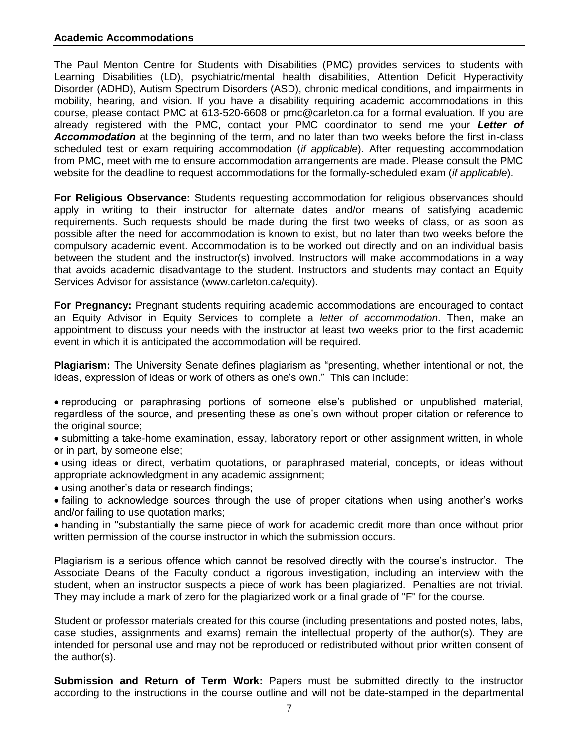## **Academic Accommodations**

The Paul Menton Centre for Students with Disabilities (PMC) provides services to students with Learning Disabilities (LD), psychiatric/mental health disabilities, Attention Deficit Hyperactivity Disorder (ADHD), Autism Spectrum Disorders (ASD), chronic medical conditions, and impairments in mobility, hearing, and vision. If you have a disability requiring academic accommodations in this course, please contact PMC at 613-520-6608 or [pmc@carleton.ca](mailto:pmc@carleton.ca) for a formal evaluation. If you are already registered with the PMC, contact your PMC coordinator to send me your *Letter of Accommodation* at the beginning of the term, and no later than two weeks before the first in-class scheduled test or exam requiring accommodation (*if applicable*). After requesting accommodation from PMC, meet with me to ensure accommodation arrangements are made. Please consult the PMC website for the deadline to request accommodations for the formally-scheduled exam (*if applicable*).

**For Religious Observance:** Students requesting accommodation for religious observances should apply in writing to their instructor for alternate dates and/or means of satisfying academic requirements. Such requests should be made during the first two weeks of class, or as soon as possible after the need for accommodation is known to exist, but no later than two weeks before the compulsory academic event. Accommodation is to be worked out directly and on an individual basis between the student and the instructor(s) involved. Instructors will make accommodations in a way that avoids academic disadvantage to the student. Instructors and students may contact an Equity Services Advisor for assistance (www.carleton.ca/equity).

**For Pregnancy:** Pregnant students requiring academic accommodations are encouraged to contact an Equity Advisor in Equity Services to complete a *letter of accommodation*. Then, make an appointment to discuss your needs with the instructor at least two weeks prior to the first academic event in which it is anticipated the accommodation will be required.

**Plagiarism:** The University Senate defines plagiarism as "presenting, whether intentional or not, the ideas, expression of ideas or work of others as one's own." This can include:

 reproducing or paraphrasing portions of someone else's published or unpublished material, regardless of the source, and presenting these as one's own without proper citation or reference to the original source;

• submitting a take-home examination, essay, laboratory report or other assignment written, in whole or in part, by someone else;

 using ideas or direct, verbatim quotations, or paraphrased material, concepts, or ideas without appropriate acknowledgment in any academic assignment;

using another's data or research findings;

 failing to acknowledge sources through the use of proper citations when using another's works and/or failing to use quotation marks;

 handing in "substantially the same piece of work for academic credit more than once without prior written permission of the course instructor in which the submission occurs.

Plagiarism is a serious offence which cannot be resolved directly with the course's instructor. The Associate Deans of the Faculty conduct a rigorous investigation, including an interview with the student, when an instructor suspects a piece of work has been plagiarized. Penalties are not trivial. They may include a mark of zero for the plagiarized work or a final grade of "F" for the course.

Student or professor materials created for this course (including presentations and posted notes, labs, case studies, assignments and exams) remain the intellectual property of the author(s). They are intended for personal use and may not be reproduced or redistributed without prior written consent of the author(s).

**Submission and Return of Term Work:** Papers must be submitted directly to the instructor according to the instructions in the course outline and will not be date-stamped in the departmental